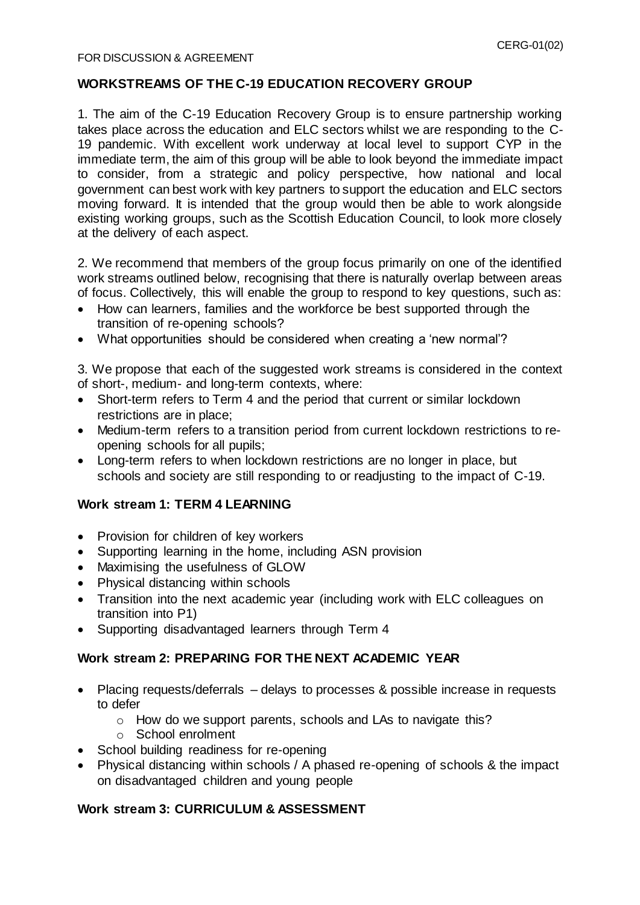## **WORKSTREAMS OF THE C-19 EDUCATION RECOVERY GROUP**

1. The aim of the C-19 Education Recovery Group is to ensure partnership working takes place across the education and ELC sectors whilst we are responding to the C-19 pandemic. With excellent work underway at local level to support CYP in the immediate term, the aim of this group will be able to look beyond the immediate impact to consider, from a strategic and policy perspective, how national and local government can best work with key partners to support the education and ELC sectors moving forward. It is intended that the group would then be able to work alongside existing working groups, such as the Scottish Education Council, to look more closely at the delivery of each aspect.

2. We recommend that members of the group focus primarily on one of the identified work streams outlined below, recognising that there is naturally overlap between areas of focus. Collectively, this will enable the group to respond to key questions, such as:

- How can learners, families and the workforce be best supported through the transition of re-opening schools?
- What opportunities should be considered when creating a 'new normal'?

3. We propose that each of the suggested work streams is considered in the context of short-, medium- and long-term contexts, where:

- Short-term refers to Term 4 and the period that current or similar lockdown restrictions are in place;
- Medium-term refers to a transition period from current lockdown restrictions to reopening schools for all pupils;
- Long-term refers to when lockdown restrictions are no longer in place, but schools and society are still responding to or readjusting to the impact of C-19.

### **Work stream 1: TERM 4 LEARNING**

- Provision for children of key workers
- Supporting learning in the home, including ASN provision
- Maximising the usefulness of GLOW
- Physical distancing within schools
- Transition into the next academic year (including work with ELC colleagues on transition into P1)
- Supporting disadvantaged learners through Term 4

### **Work stream 2: PREPARING FOR THE NEXT ACADEMIC YEAR**

- Placing requests/deferrals delays to processes & possible increase in requests to defer
	- o How do we support parents, schools and LAs to navigate this?
	- o School enrolment
- School building readiness for re-opening
- Physical distancing within schools / A phased re-opening of schools & the impact on disadvantaged children and young people

#### **Work stream 3: CURRICULUM & ASSESSMENT**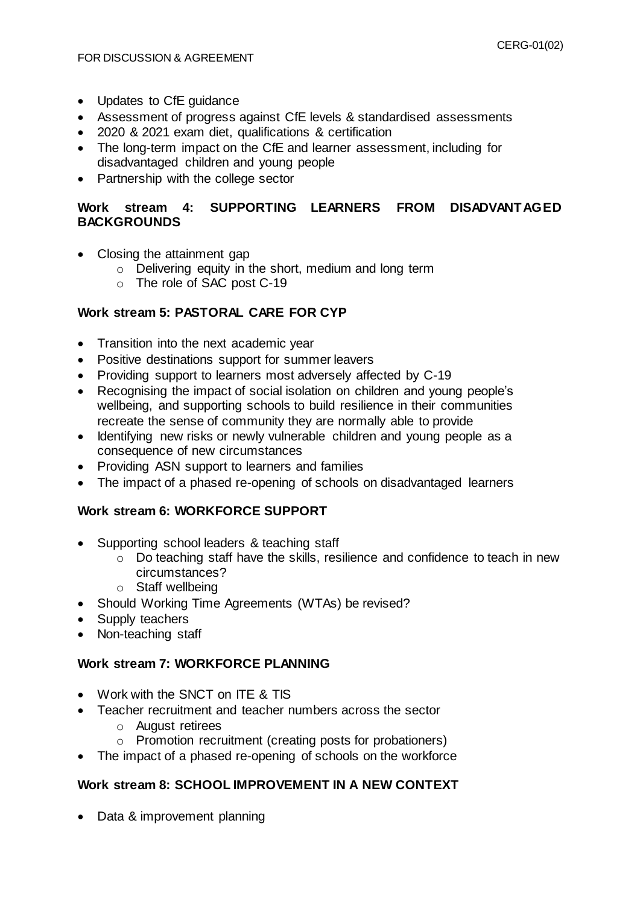- Updates to CfE quidance
- Assessment of progress against CfE levels & standardised assessments
- 2020 & 2021 exam diet, qualifications & certification
- The long-term impact on the CfE and learner assessment, including for disadvantaged children and young people
- Partnership with the college sector

## **Work stream 4: SUPPORTING LEARNERS FROM DISADVANTAGED BACKGROUNDS**

- Closing the attainment gap
	- o Delivering equity in the short, medium and long term
	- o The role of SAC post C-19

## **Work stream 5: PASTORAL CARE FOR CYP**

- Transition into the next academic year
- Positive destinations support for summer leavers
- Providing support to learners most adversely affected by C-19
- Recognising the impact of social isolation on children and young people's wellbeing, and supporting schools to build resilience in their communities recreate the sense of community they are normally able to provide
- Identifying new risks or newly vulnerable children and young people as a consequence of new circumstances
- Providing ASN support to learners and families
- The impact of a phased re-opening of schools on disadvantaged learners

### **Work stream 6: WORKFORCE SUPPORT**

- Supporting school leaders & teaching staff
	- o Do teaching staff have the skills, resilience and confidence to teach in new circumstances?
	- o Staff wellbeing
- Should Working Time Agreements (WTAs) be revised?
- Supply teachers
- Non-teaching staff

## **Work stream 7: WORKFORCE PLANNING**

- Work with the SNCT on ITE & TIS
- Teacher recruitment and teacher numbers across the sector
	- o August retirees
	- o Promotion recruitment (creating posts for probationers)
- The impact of a phased re-opening of schools on the workforce

### **Work stream 8: SCHOOL IMPROVEMENT IN A NEW CONTEXT**

• Data & improvement planning